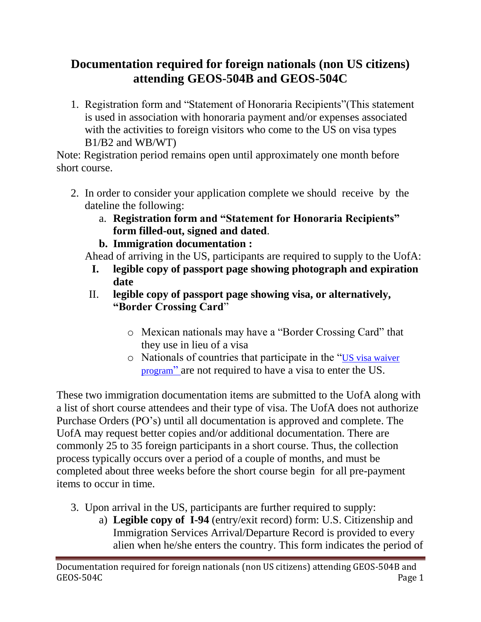## **Documentation required for foreign nationals (non US citizens) attending GEOS-504B and GEOS-504C**

1. Registration form and "Statement of Honoraria Recipients"(This statement is used in association with honoraria payment and/or expenses associated with the activities to foreign visitors who come to the US on visa types B1/B2 and WB/WT)

Note: Registration period remains open until approximately one month before short course.

- 2. In order to consider your application complete we should receive by the dateline the following:
	- a. **Registration form and "Statement for Honoraria Recipients" form filled-out, signed and dated**.
	- **b. Immigration documentation :**

Ahead of arriving in the US, participants are required to supply to the UofA:

- **I. legible copy of passport page showing photograph and expiration date**
- II. **legible copy of passport page showing visa, or alternatively, "Border Crossing Card**"
	- o Mexican nationals may have a "Border Crossing Card" that they use in lieu of a visa
	- o Nationals of countries that participate in the "[US visa waiver](http://travel.state.gov/content/visas/english/visit/visa-waiver-program.html)  [program](http://travel.state.gov/content/visas/english/visit/visa-waiver-program.html)" are not required to have a visa to enter the US.

These two immigration documentation items are submitted to the UofA along with a list of short course attendees and their type of visa. The UofA does not authorize Purchase Orders (PO's) until all documentation is approved and complete. The UofA may request better copies and/or additional documentation. There are commonly 25 to 35 foreign participants in a short course. Thus, the collection process typically occurs over a period of a couple of months, and must be completed about three weeks before the short course begin for all pre-payment items to occur in time.

- 3. Upon arrival in the US, participants are further required to supply:
	- a) **Legible copy of I-94** (entry/exit record) form: U.S. Citizenship and Immigration Services Arrival/Departure Record is provided to every alien when he/she enters the country. This form indicates the period of